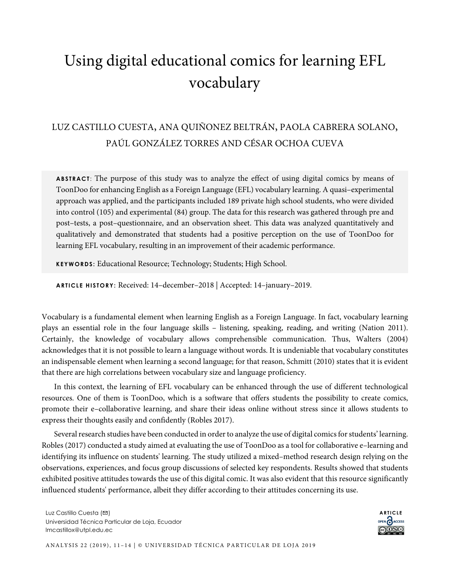# Using digital educational comics for learning EFL vocabulary

## LUZ CASTILLO CUESTA, ANA QUIÑONEZ BELTRÁN, PAOLA CABRERA SOLANO, PAÚL GONZÁLEZ TORRES AND CÉSAR OCHOA CUEVA

**ABSTRACT** : The purpose of this study was to analyze the effect of using digital comics by means of ToonDoo for enhancing English as a Foreign Language (EFL) vocabulary learning. A quasi–experimental approach was applied, and the participants included 189 private high school students, who were divided into control (105) and experimental (84) group. The data for this research was gathered through pre and post–tests, a post–questionnaire, and an observation sheet. This data was analyzed quantitatively and qualitatively and demonstrated that students had a positive perception on the use of ToonDoo for learning EFL vocabulary, resulting in an improvement of their academic performance.

**KEYWORDS:** Educational Resource; Technology; Students; High School.

**ARTICLE HISTORY:** Received: 14–december–2018 | Accepted: 14–january–2019.

Vocabulary is a fundamental element when learning English as a Foreign Language. In fact, vocabulary learning plays an essential role in the four language skills – listening, speaking, reading, and writing (Nation 2011). Certainly, the knowledge of vocabulary allows comprehensible communication. Thus, Walters (2004) acknowledges that it is not possible to learn a language without words. It is undeniable that vocabulary constitutes an indispensable element when learning a second language; for that reason, Schmitt (2010) states that it is evident that there are high correlations between vocabulary size and language proficiency.

In this context, the learning of EFL vocabulary can be enhanced through the use of different technological resources. One of them is ToonDoo, which is a software that offers students the possibility to create comics, promote their e–collaborative learning, and share their ideas online without stress since it allows students to express their thoughts easily and confidently (Robles 2017).

Several research studies have been conducted in order to analyze the use of digital comics for students' learning. Robles (2017) conducted a study aimed at evaluating the use of ToonDoo as a tool for collaborative e–learning and identifying its influence on students' learning. The study utilized a mixed–method research design relying on the observations, experiences, and focus group discussions of selected key respondents. Results showed that students exhibited positive attitudes towards the use of this digital comic. It was also evident that this resource significantly influenced students' performance, albeit they differ according to their attitudes concerning its use.

Luz Castillo Cuesta (**□**) Universidad Técnica Particular de Loja, Ecuador lmcastillox@utpl.edu.ec



ANALYSIS 22 (2019), 11-14 | © UNIVERSIDAD TÉCNICA PARTICULAR DE LOJA 2019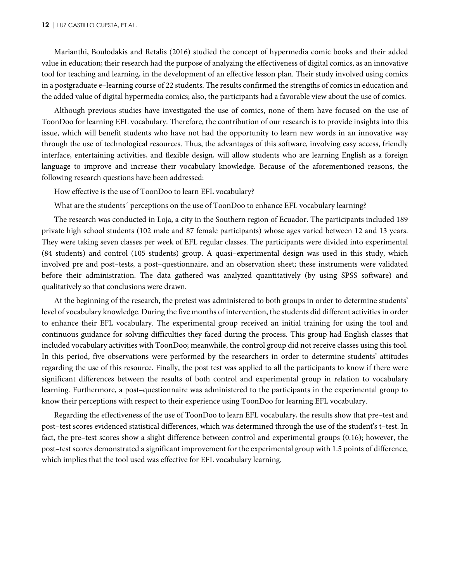#### **12** | LUZ CASTILLO CUESTA, ET AL.

Marianthi, Boulodakis and Retalis (2016) studied the concept of hypermedia comic books and their added value in education; their research had the purpose of analyzing the effectiveness of digital comics, as an innovative tool for teaching and learning, in the development of an effective lesson plan. Their study involved using comics in a postgraduate e–learning course of 22 students. The results confirmed the strengths of comics in education and the added value of digital hypermedia comics; also, the participants had a favorable view about the use of comics.

Although previous studies have investigated the use of comics, none of them have focused on the use of ToonDoo for learning EFL vocabulary. Therefore, the contribution of our research is to provide insights into this issue, which will benefit students who have not had the opportunity to learn new words in an innovative way through the use of technological resources. Thus, the advantages of this software, involving easy access, friendly interface, entertaining activities, and flexible design, will allow students who are learning English as a foreign language to improve and increase their vocabulary knowledge. Because of the aforementioned reasons, the following research questions have been addressed:

How effective is the use of ToonDoo to learn EFL vocabulary?

What are the students´ perceptions on the use of ToonDoo to enhance EFL vocabulary learning?

The research was conducted in Loja, a city in the Southern region of Ecuador. The participants included 189 private high school students (102 male and 87 female participants) whose ages varied between 12 and 13 years. They were taking seven classes per week of EFL regular classes. The participants were divided into experimental (84 students) and control (105 students) group. A quasi–experimental design was used in this study, which involved pre and post–tests, a post–questionnaire, and an observation sheet; these instruments were validated before their administration. The data gathered was analyzed quantitatively (by using SPSS software) and qualitatively so that conclusions were drawn.

At the beginning of the research, the pretest was administered to both groups in order to determine students' level of vocabulary knowledge. During the five months of intervention, the students did different activities in order to enhance their EFL vocabulary. The experimental group received an initial training for using the tool and continuous guidance for solving difficulties they faced during the process. This group had English classes that included vocabulary activities with ToonDoo; meanwhile, the control group did not receive classes using this tool. In this period, five observations were performed by the researchers in order to determine students' attitudes regarding the use of this resource. Finally, the post test was applied to all the participants to know if there were significant differences between the results of both control and experimental group in relation to vocabulary learning. Furthermore, a post–questionnaire was administered to the participants in the experimental group to know their perceptions with respect to their experience using ToonDoo for learning EFL vocabulary.

Regarding the effectiveness of the use of ToonDoo to learn EFL vocabulary, the results show that pre–test and post–test scores evidenced statistical differences, which was determined through the use of the student's t–test. In fact, the pre–test scores show a slight difference between control and experimental groups (0.16); however, the post–test scores demonstrated a significant improvement for the experimental group with 1.5 points of difference, which implies that the tool used was effective for EFL vocabulary learning.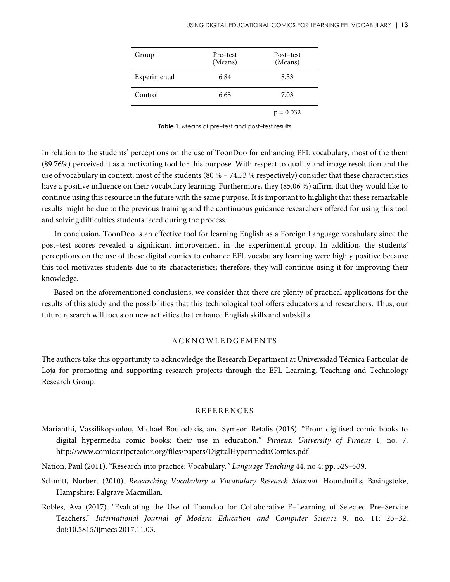| Group        | Pre-test<br>(Means) | Post-test<br>(Means) |
|--------------|---------------------|----------------------|
| Experimental | 6.84                | 8.53                 |
| Control      | 6.68                | 7.03                 |
|              |                     | $p = 0.032$          |

Table 1. Means of pre-test and post-test results

In relation to the students' perceptions on the use of ToonDoo for enhancing EFL vocabulary, most of the them (89.76%) perceived it as a motivating tool for this purpose. With respect to quality and image resolution and the use of vocabulary in context, most of the students (80 % – 74.53 % respectively) consider that these characteristics have a positive influence on their vocabulary learning. Furthermore, they (85.06 %) affirm that they would like to continue using this resource in the future with the same purpose. It is important to highlight that these remarkable results might be due to the previous training and the continuous guidance researchers offered for using this tool and solving difficulties students faced during the process.

In conclusion, ToonDoo is an effective tool for learning English as a Foreign Language vocabulary since the post–test scores revealed a significant improvement in the experimental group. In addition, the students' perceptions on the use of these digital comics to enhance EFL vocabulary learning were highly positive because this tool motivates students due to its characteristics; therefore, they will continue using it for improving their knowledge.

Based on the aforementioned conclusions, we consider that there are plenty of practical applications for the results of this study and the possibilities that this technological tool offers educators and researchers. Thus, our future research will focus on new activities that enhance English skills and subskills.

### ACKNOWLEDGEMENTS

The authors take this opportunity to acknowledge the Research Department at Universidad Técnica Particular de Loja for promoting and supporting research projects through the EFL Learning, Teaching and Technology Research Group.

#### REFERENCES

- Marianthi, Vassilikopoulou, Michael Boulodakis, and Symeon Retalis (2016). "From digitised comic books to digital hypermedia comic books: their use in education." *Piraeus: University of Piraeus* 1, no. 7. http://www.comicstripcreator.org/files/papers/DigitalHypermediaComics.pdf
- Nation, Paul (2011). "Research into practice: Vocabulary*." Language Teaching* 44, no 4: pp. 529–539.
- Schmitt, Norbert (2010). *Researching Vocabulary a Vocabulary Research Manual*. Houndmills, Basingstoke, Hampshire: Palgrave Macmillan.
- Robles, Ava (2017). "Evaluating the Use of Toondoo for Collaborative E–Learning of Selected Pre–Service Teachers." *International Journal of Modern Education and Computer Science* 9, no. 11: 25–32. doi:10.5815/ijmecs.2017.11.03.